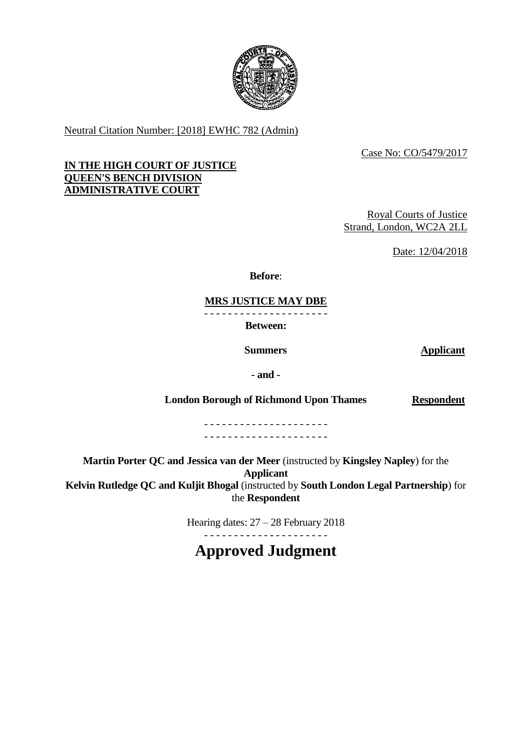

Neutral Citation Number: [2018] EWHC 782 (Admin)

Case No: CO/5479/2017

## **IN THE HIGH COURT OF JUSTICE QUEEN'S BENCH DIVISION ADMINISTRATIVE COURT**

Royal Courts of Justice Strand, London, WC2A 2LL

Date: 12/04/2018

**Before**:

# **MRS JUSTICE MAY DBE**

- - - - - - - - - - - - - - - - - - - - -

**Between:**

**Summers Applicant**

**- and -**

**London Borough of Richmond Upon Thames Respondent**

- - - - - - - - - - - - - - - - - - - - - - - - - - - - - - - - - - - - - - - - - -

**Martin Porter QC and Jessica van der Meer** (instructed by **Kingsley Napley**) for the **Applicant Kelvin Rutledge QC and Kuljit Bhogal** (instructed by **South London Legal Partnership**) for the **Respondent**

Hearing dates: 27 – 28 February 2018

- - - - - - - - - - - - - - - - - - - - - **Approved Judgment**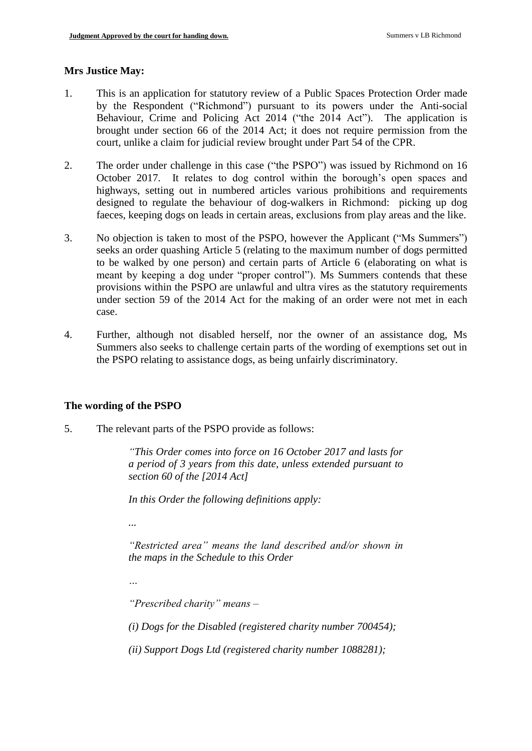### **Mrs Justice May:**

- 1. This is an application for statutory review of a Public Spaces Protection Order made by the Respondent ("Richmond") pursuant to its powers under the Anti-social Behaviour, Crime and Policing Act 2014 ("the 2014 Act"). The application is brought under section 66 of the 2014 Act; it does not require permission from the court, unlike a claim for judicial review brought under Part 54 of the CPR.
- 2. The order under challenge in this case ("the PSPO") was issued by Richmond on 16 October 2017. It relates to dog control within the borough's open spaces and highways, setting out in numbered articles various prohibitions and requirements designed to regulate the behaviour of dog-walkers in Richmond: picking up dog faeces, keeping dogs on leads in certain areas, exclusions from play areas and the like.
- 3. No objection is taken to most of the PSPO, however the Applicant ("Ms Summers") seeks an order quashing Article 5 (relating to the maximum number of dogs permitted to be walked by one person) and certain parts of Article 6 (elaborating on what is meant by keeping a dog under "proper control"). Ms Summers contends that these provisions within the PSPO are unlawful and ultra vires as the statutory requirements under section 59 of the 2014 Act for the making of an order were not met in each case.
- 4. Further, although not disabled herself, nor the owner of an assistance dog, Ms Summers also seeks to challenge certain parts of the wording of exemptions set out in the PSPO relating to assistance dogs, as being unfairly discriminatory.

### **The wording of the PSPO**

5. The relevant parts of the PSPO provide as follows:

*"This Order comes into force on 16 October 2017 and lasts for a period of 3 years from this date, unless extended pursuant to section 60 of the [2014 Act]*

*In this Order the following definitions apply:*

*...*

*"Restricted area" means the land described and/or shown in the maps in the Schedule to this Order*

*…*

*"Prescribed charity" means –*

*(i) Dogs for the Disabled (registered charity number 700454);*

*(ii) Support Dogs Ltd (registered charity number 1088281);*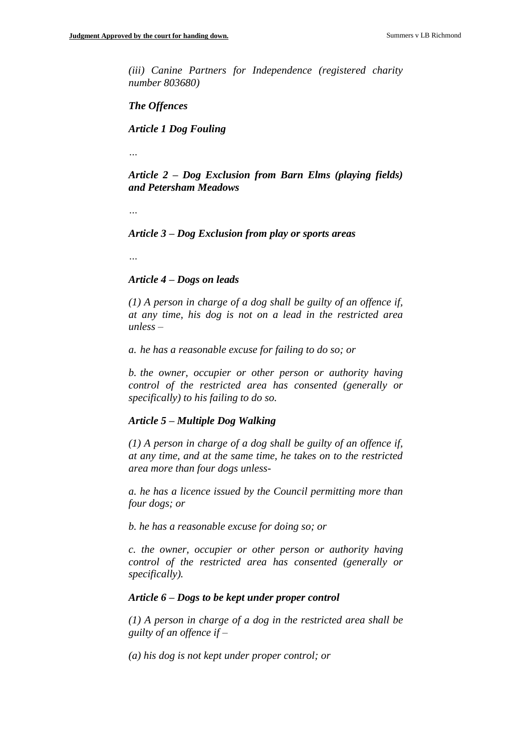*(iii) Canine Partners for Independence (registered charity number 803680)*

*The Offences*

*Article 1 Dog Fouling*

*…*

*Article 2 – Dog Exclusion from Barn Elms (playing fields) and Petersham Meadows*

*…*

*Article 3 – Dog Exclusion from play or sports areas*

*…*

#### *Article 4 – Dogs on leads*

*(1) A person in charge of a dog shall be guilty of an offence if, at any time, his dog is not on a lead in the restricted area unless –*

*a. he has a reasonable excuse for failing to do so; or*

*b. the owner, occupier or other person or authority having control of the restricted area has consented (generally or specifically) to his failing to do so.*

#### *Article 5 – Multiple Dog Walking*

*(1) A person in charge of a dog shall be guilty of an offence if, at any time, and at the same time, he takes on to the restricted area more than four dogs unless-*

*a. he has a licence issued by the Council permitting more than four dogs; or*

*b. he has a reasonable excuse for doing so; or*

*c. the owner, occupier or other person or authority having control of the restricted area has consented (generally or specifically).*

#### *Article 6 – Dogs to be kept under proper control*

*(1) A person in charge of a dog in the restricted area shall be guilty of an offence if –*

*(a) his dog is not kept under proper control; or*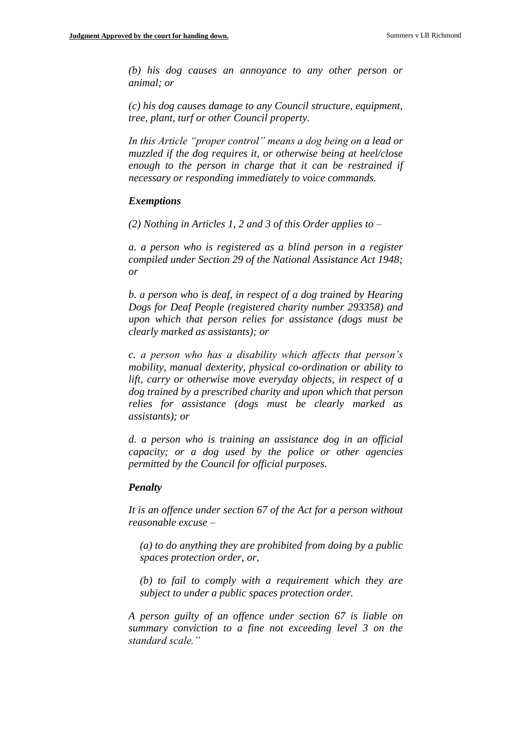*(b) his dog causes an annoyance to any other person or animal; or*

*(c) his dog causes damage to any Council structure, equipment, tree, plant, turf or other Council property.*

*In this Article "proper control" means a dog being on a lead or muzzled if the dog requires it, or otherwise being at heel/close enough to the person in charge that it can be restrained if necessary or responding immediately to voice commands.*

### *Exemptions*

*(2) Nothing in Articles 1, 2 and 3 of this Order applies to –*

*a. a person who is registered as a blind person in a register compiled under Section 29 of the National Assistance Act 1948; or*

*b. a person who is deaf, in respect of a dog trained by Hearing Dogs for Deaf People (registered charity number 293358) and upon which that person relies for assistance (dogs must be clearly marked as assistants); or*

*c. a person who has a disability which affects that person's mobility, manual dexterity, physical co-ordination or ability to lift, carry or otherwise move everyday objects, in respect of a dog trained by a prescribed charity and upon which that person relies for assistance (dogs must be clearly marked as assistants); or*

*d. a person who is training an assistance dog in an official capacity; or a dog used by the police or other agencies permitted by the Council for official purposes.*

## *Penalty*

*It is an offence under section 67 of the Act for a person without reasonable excuse –*

*(a) to do anything they are prohibited from doing by a public spaces protection order, or,*

*(b) to fail to comply with a requirement which they are subject to under a public spaces protection order.*

*A person guilty of an offence under section 67 is liable on summary conviction to a fine not exceeding level 3 on the standard scale."*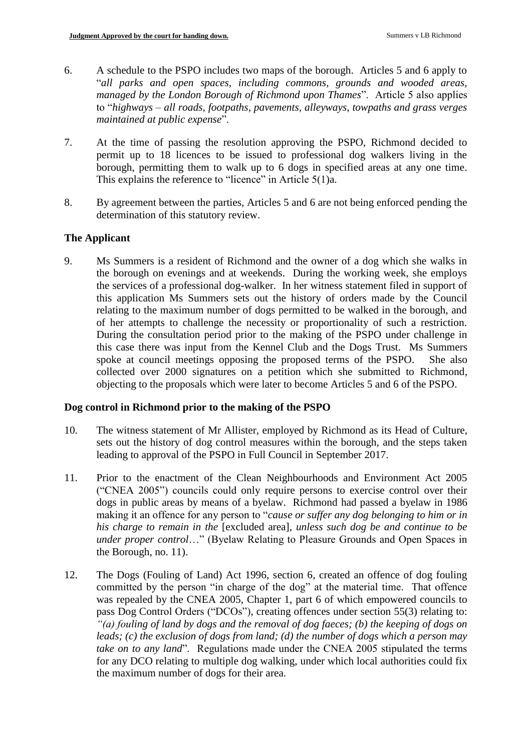- 6. A schedule to the PSPO includes two maps of the borough. Articles 5 and 6 apply to "*all parks and open spaces, including commons, grounds and wooded areas, managed by the London Borough of Richmond upon Thames*". Article 5 also applies to "*highways – all roads, footpaths, pavements, alleyways, towpaths and grass verges maintained at public expense*".
- 7. At the time of passing the resolution approving the PSPO, Richmond decided to permit up to 18 licences to be issued to professional dog walkers living in the borough, permitting them to walk up to 6 dogs in specified areas at any one time. This explains the reference to "licence" in Article 5(1)a.
- 8. By agreement between the parties, Articles 5 and 6 are not being enforced pending the determination of this statutory review.

## **The Applicant**

9. Ms Summers is a resident of Richmond and the owner of a dog which she walks in the borough on evenings and at weekends. During the working week, she employs the services of a professional dog-walker. In her witness statement filed in support of this application Ms Summers sets out the history of orders made by the Council relating to the maximum number of dogs permitted to be walked in the borough, and of her attempts to challenge the necessity or proportionality of such a restriction. During the consultation period prior to the making of the PSPO under challenge in this case there was input from the Kennel Club and the Dogs Trust. Ms Summers spoke at council meetings opposing the proposed terms of the PSPO. She also collected over 2000 signatures on a petition which she submitted to Richmond, objecting to the proposals which were later to become Articles 5 and 6 of the PSPO.

## **Dog control in Richmond prior to the making of the PSPO**

- 10. The witness statement of Mr Allister, employed by Richmond as its Head of Culture, sets out the history of dog control measures within the borough, and the steps taken leading to approval of the PSPO in Full Council in September 2017.
- 11. Prior to the enactment of the Clean Neighbourhoods and Environment Act 2005 ("CNEA 2005") councils could only require persons to exercise control over their dogs in public areas by means of a byelaw. Richmond had passed a byelaw in 1986 making it an offence for any person to "*cause or suffer any dog belonging to him or in his charge to remain in the* [excluded area], *unless such dog be and continue to be under proper control*…" (Byelaw Relating to Pleasure Grounds and Open Spaces in the Borough, no. 11).
- 12. The Dogs (Fouling of Land) Act 1996, section 6, created an offence of dog fouling committed by the person "in charge of the dog" at the material time. That offence was repealed by the CNEA 2005, Chapter 1, part 6 of which empowered councils to pass Dog Control Orders ("DCOs"), creating offences under section 55(3) relating to: *"(a) fouling of land by dogs and the removal of dog faeces; (b) the keeping of dogs on leads; (c) the exclusion of dogs from land; (d) the number of dogs which a person may take on to any land*". Regulations made under the CNEA 2005 stipulated the terms for any DCO relating to multiple dog walking, under which local authorities could fix the maximum number of dogs for their area.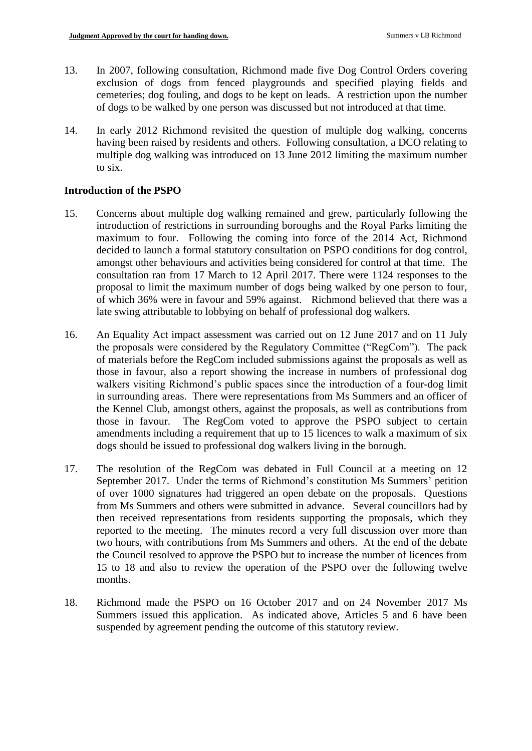- 13. In 2007, following consultation, Richmond made five Dog Control Orders covering exclusion of dogs from fenced playgrounds and specified playing fields and cemeteries; dog fouling, and dogs to be kept on leads. A restriction upon the number of dogs to be walked by one person was discussed but not introduced at that time.
- 14. In early 2012 Richmond revisited the question of multiple dog walking, concerns having been raised by residents and others. Following consultation, a DCO relating to multiple dog walking was introduced on 13 June 2012 limiting the maximum number to six.

## **Introduction of the PSPO**

- 15. Concerns about multiple dog walking remained and grew, particularly following the introduction of restrictions in surrounding boroughs and the Royal Parks limiting the maximum to four. Following the coming into force of the 2014 Act, Richmond decided to launch a formal statutory consultation on PSPO conditions for dog control, amongst other behaviours and activities being considered for control at that time. The consultation ran from 17 March to 12 April 2017. There were 1124 responses to the proposal to limit the maximum number of dogs being walked by one person to four, of which 36% were in favour and 59% against. Richmond believed that there was a late swing attributable to lobbying on behalf of professional dog walkers.
- 16. An Equality Act impact assessment was carried out on 12 June 2017 and on 11 July the proposals were considered by the Regulatory Committee ("RegCom"). The pack of materials before the RegCom included submissions against the proposals as well as those in favour, also a report showing the increase in numbers of professional dog walkers visiting Richmond's public spaces since the introduction of a four-dog limit in surrounding areas. There were representations from Ms Summers and an officer of the Kennel Club, amongst others, against the proposals, as well as contributions from those in favour. The RegCom voted to approve the PSPO subject to certain amendments including a requirement that up to 15 licences to walk a maximum of six dogs should be issued to professional dog walkers living in the borough.
- 17. The resolution of the RegCom was debated in Full Council at a meeting on 12 September 2017. Under the terms of Richmond's constitution Ms Summers' petition of over 1000 signatures had triggered an open debate on the proposals. Questions from Ms Summers and others were submitted in advance. Several councillors had by then received representations from residents supporting the proposals, which they reported to the meeting. The minutes record a very full discussion over more than two hours, with contributions from Ms Summers and others. At the end of the debate the Council resolved to approve the PSPO but to increase the number of licences from 15 to 18 and also to review the operation of the PSPO over the following twelve months.
- 18. Richmond made the PSPO on 16 October 2017 and on 24 November 2017 Ms Summers issued this application. As indicated above, Articles 5 and 6 have been suspended by agreement pending the outcome of this statutory review.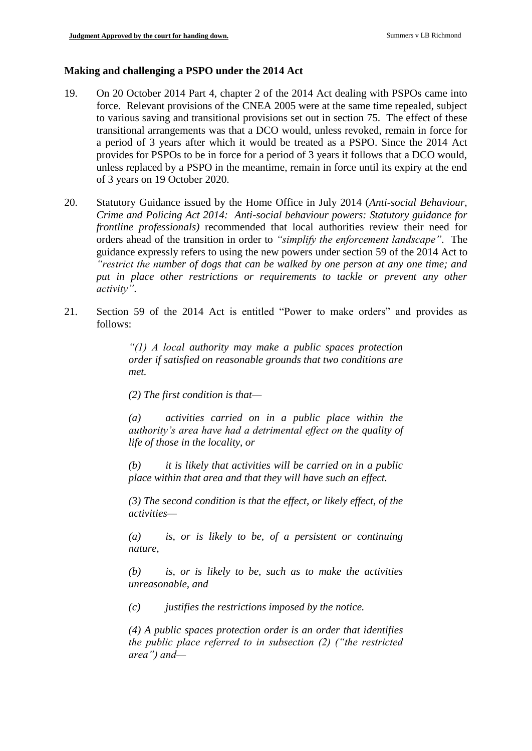### **Making and challenging a PSPO under the 2014 Act**

- 19. On 20 October 2014 Part 4, chapter 2 of the 2014 Act dealing with PSPOs came into force. Relevant provisions of the CNEA 2005 were at the same time repealed, subject to various saving and transitional provisions set out in section 75. The effect of these transitional arrangements was that a DCO would, unless revoked, remain in force for a period of 3 years after which it would be treated as a PSPO. Since the 2014 Act provides for PSPOs to be in force for a period of 3 years it follows that a DCO would, unless replaced by a PSPO in the meantime, remain in force until its expiry at the end of 3 years on 19 October 2020.
- 20. Statutory Guidance issued by the Home Office in July 2014 (*Anti-social Behaviour, Crime and Policing Act 2014: Anti-social behaviour powers: Statutory guidance for frontline professionals)* recommended that local authorities review their need for orders ahead of the transition in order to *"simplify the enforcement landscape"*. The guidance expressly refers to using the new powers under section 59 of the 2014 Act to *"restrict the number of dogs that can be walked by one person at any one time; and*  put in place other restrictions or requirements to tackle or prevent any other *activity"*.
- 21. Section 59 of the 2014 Act is entitled "Power to make orders" and provides as follows:

*"(1) A local authority may make a public spaces protection order if satisfied on reasonable grounds that two conditions are met.*

*(2) The first condition is that—*

*(a) activities carried on in a public place within the authority's area have had a detrimental effect on the quality of life of those in the locality, or*

*(b) it is likely that activities will be carried on in a public place within that area and that they will have such an effect.*

*(3) The second condition is that the effect, or likely effect, of the activities—*

*(a) is, or is likely to be, of a persistent or continuing nature,*

*(b) is, or is likely to be, such as to make the activities unreasonable, and*

*(c) justifies the restrictions imposed by the notice.*

*(4) A public spaces protection order is an order that identifies the public place referred to in subsection (2) ("the restricted area") and—*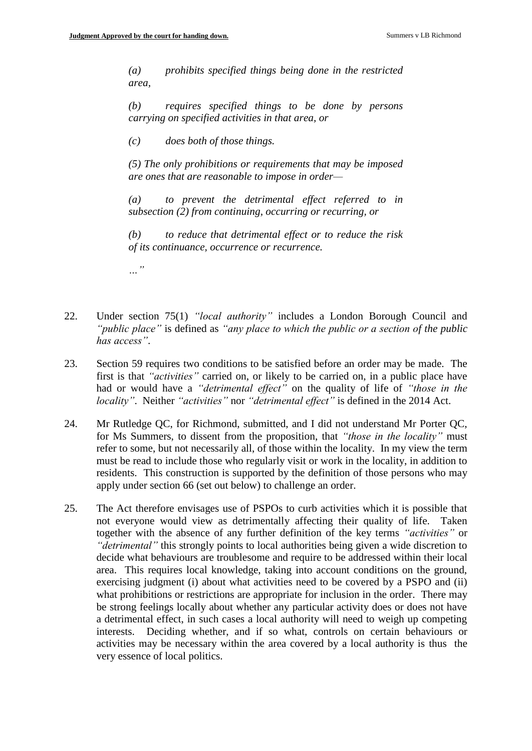*(a) prohibits specified things being done in the restricted area,*

*(b) requires specified things to be done by persons carrying on specified activities in that area, or*

*(c) does both of those things.*

*(5) The only prohibitions or requirements that may be imposed are ones that are reasonable to impose in order—*

*(a) to prevent the detrimental effect referred to in subsection (2) from continuing, occurring or recurring, or*

*(b) to reduce that detrimental effect or to reduce the risk of its continuance, occurrence or recurrence.*

*…"*

- 22. Under section 75(1) *"local authority"* includes a London Borough Council and *"public place"* is defined as *"any place to which the public or a section of the public has access"*.
- 23. Section 59 requires two conditions to be satisfied before an order may be made. The first is that *"activities"* carried on, or likely to be carried on, in a public place have had or would have a *"detrimental effect"* on the quality of life of *"those in the locality"*. Neither *"activities"* nor *"detrimental effect"* is defined in the 2014 Act.
- 24. Mr Rutledge QC, for Richmond, submitted, and I did not understand Mr Porter QC, for Ms Summers, to dissent from the proposition, that *"those in the locality"* must refer to some, but not necessarily all, of those within the locality. In my view the term must be read to include those who regularly visit or work in the locality, in addition to residents. This construction is supported by the definition of those persons who may apply under section 66 (set out below) to challenge an order.
- 25. The Act therefore envisages use of PSPOs to curb activities which it is possible that not everyone would view as detrimentally affecting their quality of life. Taken together with the absence of any further definition of the key terms *"activities"* or *"detrimental"* this strongly points to local authorities being given a wide discretion to decide what behaviours are troublesome and require to be addressed within their local area. This requires local knowledge, taking into account conditions on the ground, exercising judgment (i) about what activities need to be covered by a PSPO and (ii) what prohibitions or restrictions are appropriate for inclusion in the order. There may be strong feelings locally about whether any particular activity does or does not have a detrimental effect, in such cases a local authority will need to weigh up competing interests. Deciding whether, and if so what, controls on certain behaviours or activities may be necessary within the area covered by a local authority is thus the very essence of local politics.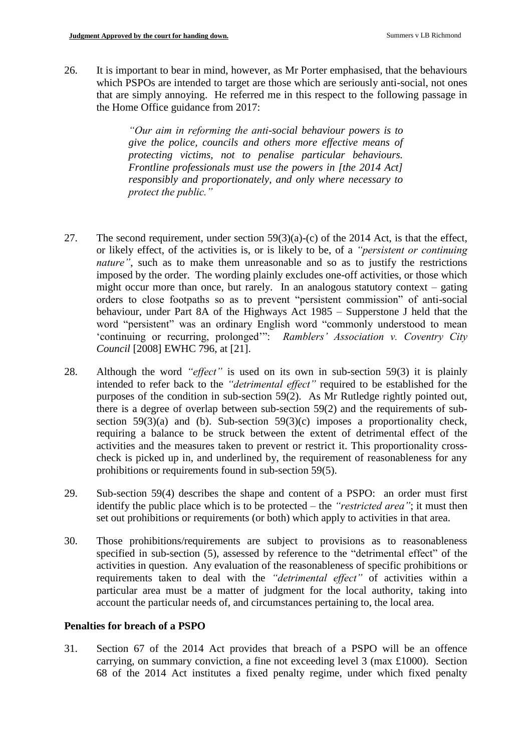26. It is important to bear in mind, however, as Mr Porter emphasised, that the behaviours which PSPOs are intended to target are those which are seriously anti-social, not ones that are simply annoying. He referred me in this respect to the following passage in the Home Office guidance from 2017:

> *"Our aim in reforming the anti-social behaviour powers is to give the police, councils and others more effective means of protecting victims, not to penalise particular behaviours. Frontline professionals must use the powers in [the 2014 Act] responsibly and proportionately, and only where necessary to protect the public."*

- 27. The second requirement, under section 59(3)(a)-(c) of the 2014 Act, is that the effect, or likely effect, of the activities is, or is likely to be, of a *"persistent or continuing nature*", such as to make them unreasonable and so as to justify the restrictions imposed by the order. The wording plainly excludes one-off activities, or those which might occur more than once, but rarely. In an analogous statutory context – gating orders to close footpaths so as to prevent "persistent commission" of anti-social behaviour, under Part 8A of the Highways Act 1985 – Supperstone J held that the word "persistent" was an ordinary English word "commonly understood to mean 'continuing or recurring, prolonged'": *Ramblers' Association v. Coventry City Council* [2008] EWHC 796, at [21].
- 28. Although the word *"effect"* is used on its own in sub-section 59(3) it is plainly intended to refer back to the *"detrimental effect"* required to be established for the purposes of the condition in sub-section 59(2). As Mr Rutledge rightly pointed out, there is a degree of overlap between sub-section 59(2) and the requirements of subsection  $59(3)(a)$  and (b). Sub-section  $59(3)(c)$  imposes a proportionality check, requiring a balance to be struck between the extent of detrimental effect of the activities and the measures taken to prevent or restrict it. This proportionality crosscheck is picked up in, and underlined by, the requirement of reasonableness for any prohibitions or requirements found in sub-section 59(5).
- 29. Sub-section 59(4) describes the shape and content of a PSPO: an order must first identify the public place which is to be protected – the *"restricted area"*; it must then set out prohibitions or requirements (or both) which apply to activities in that area.
- 30. Those prohibitions/requirements are subject to provisions as to reasonableness specified in sub-section (5), assessed by reference to the "detrimental effect" of the activities in question. Any evaluation of the reasonableness of specific prohibitions or requirements taken to deal with the *"detrimental effect"* of activities within a particular area must be a matter of judgment for the local authority, taking into account the particular needs of, and circumstances pertaining to, the local area.

### **Penalties for breach of a PSPO**

31. Section 67 of the 2014 Act provides that breach of a PSPO will be an offence carrying, on summary conviction, a fine not exceeding level 3 (max £1000). Section 68 of the 2014 Act institutes a fixed penalty regime, under which fixed penalty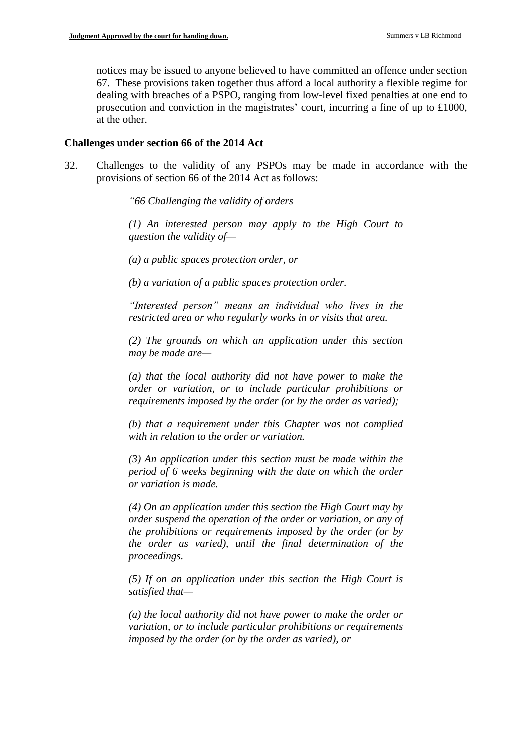notices may be issued to anyone believed to have committed an offence under section 67. These provisions taken together thus afford a local authority a flexible regime for dealing with breaches of a PSPO, ranging from low-level fixed penalties at one end to prosecution and conviction in the magistrates' court, incurring a fine of up to £1000, at the other.

#### **Challenges under section 66 of the 2014 Act**

32. Challenges to the validity of any PSPOs may be made in accordance with the provisions of section 66 of the 2014 Act as follows:

*"66 Challenging the validity of orders*

*(1) An interested person may apply to the High Court to question the validity of—*

*(a) a public spaces protection order, or*

*(b) a variation of a public spaces protection order.*

*"Interested person" means an individual who lives in the restricted area or who regularly works in or visits that area.*

*(2) The grounds on which an application under this section may be made are—*

*(a) that the local authority did not have power to make the order or variation, or to include particular prohibitions or requirements imposed by the order (or by the order as varied);*

*(b) that a requirement under this Chapter was not complied with in relation to the order or variation.*

*(3) An application under this section must be made within the period of 6 weeks beginning with the date on which the order or variation is made.*

*(4) On an application under this section the High Court may by order suspend the operation of the order or variation, or any of the prohibitions or requirements imposed by the order (or by the order as varied), until the final determination of the proceedings.*

*(5) If on an application under this section the High Court is satisfied that—*

*(a) the local authority did not have power to make the order or variation, or to include particular prohibitions or requirements imposed by the order (or by the order as varied), or*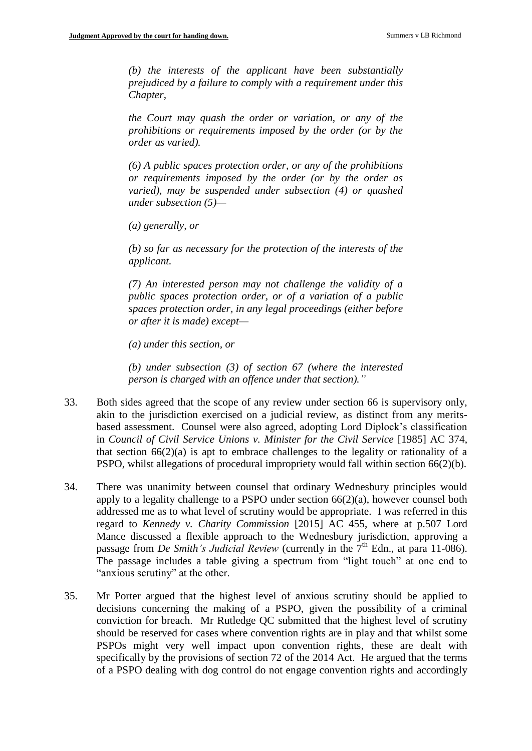*(b) the interests of the applicant have been substantially prejudiced by a failure to comply with a requirement under this Chapter,*

*the Court may quash the order or variation, or any of the prohibitions or requirements imposed by the order (or by the order as varied).*

*(6) A public spaces protection order, or any of the prohibitions or requirements imposed by the order (or by the order as varied), may be suspended under subsection (4) or quashed under subsection (5)—*

*(a) generally, or*

*(b) so far as necessary for the protection of the interests of the applicant.*

*(7) An interested person may not challenge the validity of a public spaces protection order, or of a variation of a public spaces protection order, in any legal proceedings (either before or after it is made) except—*

*(a) under this section, or*

*(b) under subsection (3) of section 67 (where the interested person is charged with an offence under that section)."*

- 33. Both sides agreed that the scope of any review under section 66 is supervisory only, akin to the jurisdiction exercised on a judicial review, as distinct from any meritsbased assessment. Counsel were also agreed, adopting Lord Diplock's classification in *Council of Civil Service Unions v. Minister for the Civil Service* [1985] AC 374, that section  $66(2)(a)$  is apt to embrace challenges to the legality or rationality of a PSPO, whilst allegations of procedural impropriety would fall within section 66(2)(b).
- 34. There was unanimity between counsel that ordinary Wednesbury principles would apply to a legality challenge to a PSPO under section  $66(2)(a)$ , however counsel both addressed me as to what level of scrutiny would be appropriate. I was referred in this regard to *Kennedy v. Charity Commission* [2015] AC 455, where at p.507 Lord Mance discussed a flexible approach to the Wednesbury jurisdiction, approving a passage from *De Smith's Judicial Review* (currently in the 7<sup>th</sup> Edn., at para 11-086). The passage includes a table giving a spectrum from "light touch" at one end to "anxious scrutiny" at the other.
- 35. Mr Porter argued that the highest level of anxious scrutiny should be applied to decisions concerning the making of a PSPO, given the possibility of a criminal conviction for breach. Mr Rutledge QC submitted that the highest level of scrutiny should be reserved for cases where convention rights are in play and that whilst some PSPOs might very well impact upon convention rights, these are dealt with specifically by the provisions of section 72 of the 2014 Act. He argued that the terms of a PSPO dealing with dog control do not engage convention rights and accordingly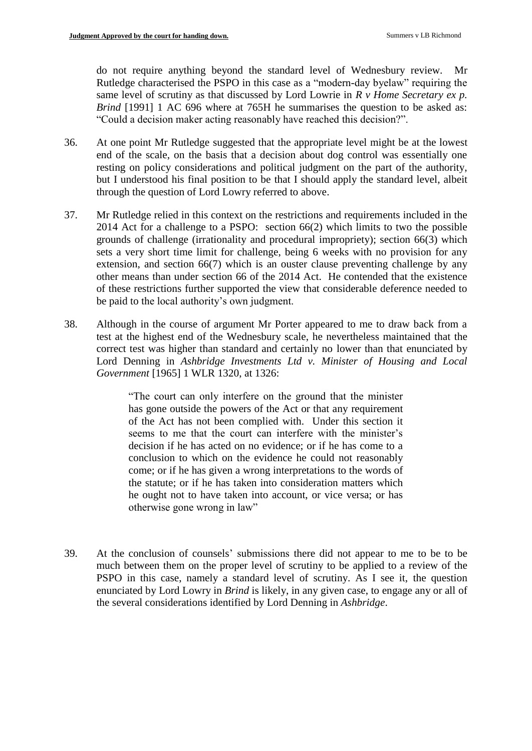do not require anything beyond the standard level of Wednesbury review. Mr Rutledge characterised the PSPO in this case as a "modern-day byelaw" requiring the same level of scrutiny as that discussed by Lord Lowrie in *R v Home Secretary ex p. Brind* [1991] 1 AC 696 where at 765H he summarises the question to be asked as: "Could a decision maker acting reasonably have reached this decision?".

- 36. At one point Mr Rutledge suggested that the appropriate level might be at the lowest end of the scale, on the basis that a decision about dog control was essentially one resting on policy considerations and political judgment on the part of the authority, but I understood his final position to be that I should apply the standard level, albeit through the question of Lord Lowry referred to above.
- 37. Mr Rutledge relied in this context on the restrictions and requirements included in the 2014 Act for a challenge to a PSPO: section 66(2) which limits to two the possible grounds of challenge (irrationality and procedural impropriety); section 66(3) which sets a very short time limit for challenge, being 6 weeks with no provision for any extension, and section 66(7) which is an ouster clause preventing challenge by any other means than under section 66 of the 2014 Act. He contended that the existence of these restrictions further supported the view that considerable deference needed to be paid to the local authority's own judgment.
- 38. Although in the course of argument Mr Porter appeared to me to draw back from a test at the highest end of the Wednesbury scale, he nevertheless maintained that the correct test was higher than standard and certainly no lower than that enunciated by Lord Denning in *Ashbridge Investments Ltd v. Minister of Housing and Local Government* [1965] 1 WLR 1320, at 1326:

"The court can only interfere on the ground that the minister has gone outside the powers of the Act or that any requirement of the Act has not been complied with. Under this section it seems to me that the court can interfere with the minister's decision if he has acted on no evidence; or if he has come to a conclusion to which on the evidence he could not reasonably come; or if he has given a wrong interpretations to the words of the statute; or if he has taken into consideration matters which he ought not to have taken into account, or vice versa; or has otherwise gone wrong in law"

39. At the conclusion of counsels' submissions there did not appear to me to be to be much between them on the proper level of scrutiny to be applied to a review of the PSPO in this case, namely a standard level of scrutiny. As I see it, the question enunciated by Lord Lowry in *Brind* is likely, in any given case, to engage any or all of the several considerations identified by Lord Denning in *Ashbridge*.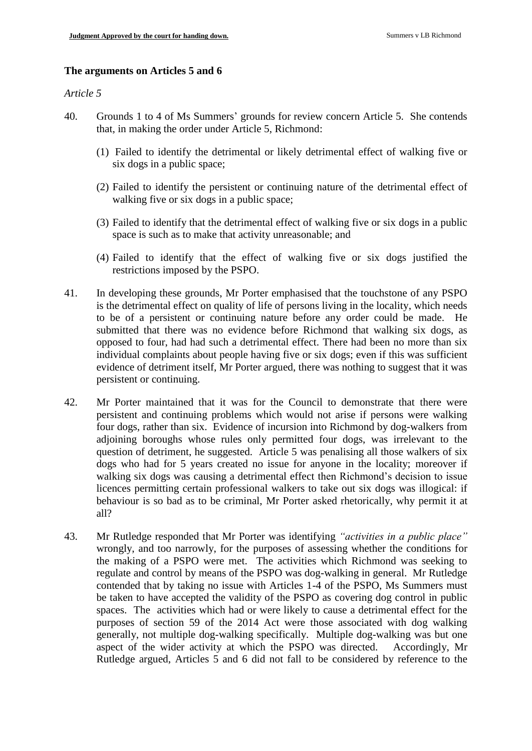#### **The arguments on Articles 5 and 6**

#### *Article 5*

- 40. Grounds 1 to 4 of Ms Summers' grounds for review concern Article 5. She contends that, in making the order under Article 5, Richmond:
	- (1) Failed to identify the detrimental or likely detrimental effect of walking five or six dogs in a public space;
	- (2) Failed to identify the persistent or continuing nature of the detrimental effect of walking five or six dogs in a public space;
	- (3) Failed to identify that the detrimental effect of walking five or six dogs in a public space is such as to make that activity unreasonable; and
	- (4) Failed to identify that the effect of walking five or six dogs justified the restrictions imposed by the PSPO.
- 41. In developing these grounds, Mr Porter emphasised that the touchstone of any PSPO is the detrimental effect on quality of life of persons living in the locality, which needs to be of a persistent or continuing nature before any order could be made. He submitted that there was no evidence before Richmond that walking six dogs, as opposed to four, had had such a detrimental effect. There had been no more than six individual complaints about people having five or six dogs; even if this was sufficient evidence of detriment itself, Mr Porter argued, there was nothing to suggest that it was persistent or continuing.
- 42. Mr Porter maintained that it was for the Council to demonstrate that there were persistent and continuing problems which would not arise if persons were walking four dogs, rather than six. Evidence of incursion into Richmond by dog-walkers from adjoining boroughs whose rules only permitted four dogs, was irrelevant to the question of detriment, he suggested. Article 5 was penalising all those walkers of six dogs who had for 5 years created no issue for anyone in the locality; moreover if walking six dogs was causing a detrimental effect then Richmond's decision to issue licences permitting certain professional walkers to take out six dogs was illogical: if behaviour is so bad as to be criminal, Mr Porter asked rhetorically, why permit it at all?
- 43. Mr Rutledge responded that Mr Porter was identifying *"activities in a public place"* wrongly, and too narrowly, for the purposes of assessing whether the conditions for the making of a PSPO were met. The activities which Richmond was seeking to regulate and control by means of the PSPO was dog-walking in general. Mr Rutledge contended that by taking no issue with Articles 1-4 of the PSPO, Ms Summers must be taken to have accepted the validity of the PSPO as covering dog control in public spaces. The activities which had or were likely to cause a detrimental effect for the purposes of section 59 of the 2014 Act were those associated with dog walking generally, not multiple dog-walking specifically. Multiple dog-walking was but one aspect of the wider activity at which the PSPO was directed. Accordingly, Mr Rutledge argued, Articles 5 and 6 did not fall to be considered by reference to the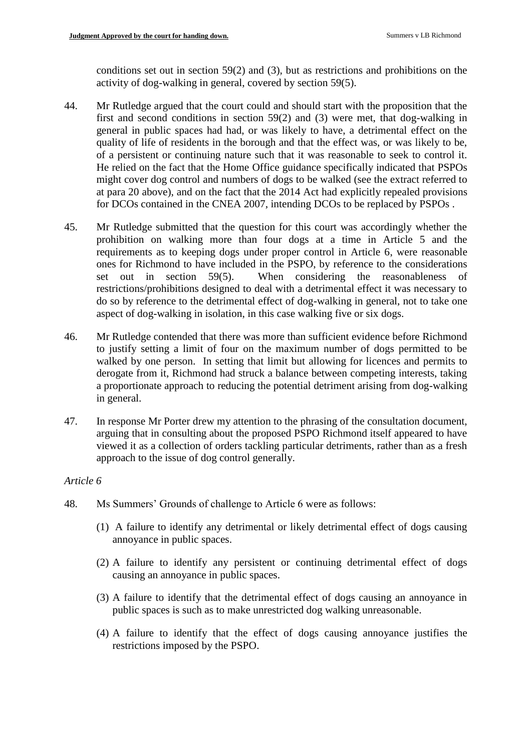conditions set out in section 59(2) and (3), but as restrictions and prohibitions on the activity of dog-walking in general, covered by section 59(5).

- 44. Mr Rutledge argued that the court could and should start with the proposition that the first and second conditions in section 59(2) and (3) were met, that dog-walking in general in public spaces had had, or was likely to have, a detrimental effect on the quality of life of residents in the borough and that the effect was, or was likely to be, of a persistent or continuing nature such that it was reasonable to seek to control it. He relied on the fact that the Home Office guidance specifically indicated that PSPOs might cover dog control and numbers of dogs to be walked (see the extract referred to at para 20 above), and on the fact that the 2014 Act had explicitly repealed provisions for DCOs contained in the CNEA 2007, intending DCOs to be replaced by PSPOs .
- 45. Mr Rutledge submitted that the question for this court was accordingly whether the prohibition on walking more than four dogs at a time in Article 5 and the requirements as to keeping dogs under proper control in Article 6, were reasonable ones for Richmond to have included in the PSPO, by reference to the considerations set out in section 59(5). When considering the reasonableness of restrictions/prohibitions designed to deal with a detrimental effect it was necessary to do so by reference to the detrimental effect of dog-walking in general, not to take one aspect of dog-walking in isolation, in this case walking five or six dogs.
- 46. Mr Rutledge contended that there was more than sufficient evidence before Richmond to justify setting a limit of four on the maximum number of dogs permitted to be walked by one person. In setting that limit but allowing for licences and permits to derogate from it, Richmond had struck a balance between competing interests, taking a proportionate approach to reducing the potential detriment arising from dog-walking in general.
- 47. In response Mr Porter drew my attention to the phrasing of the consultation document, arguing that in consulting about the proposed PSPO Richmond itself appeared to have viewed it as a collection of orders tackling particular detriments, rather than as a fresh approach to the issue of dog control generally.

## *Article 6*

- 48. Ms Summers' Grounds of challenge to Article 6 were as follows:
	- (1) A failure to identify any detrimental or likely detrimental effect of dogs causing annoyance in public spaces.
	- (2) A failure to identify any persistent or continuing detrimental effect of dogs causing an annoyance in public spaces.
	- (3) A failure to identify that the detrimental effect of dogs causing an annoyance in public spaces is such as to make unrestricted dog walking unreasonable.
	- (4) A failure to identify that the effect of dogs causing annoyance justifies the restrictions imposed by the PSPO.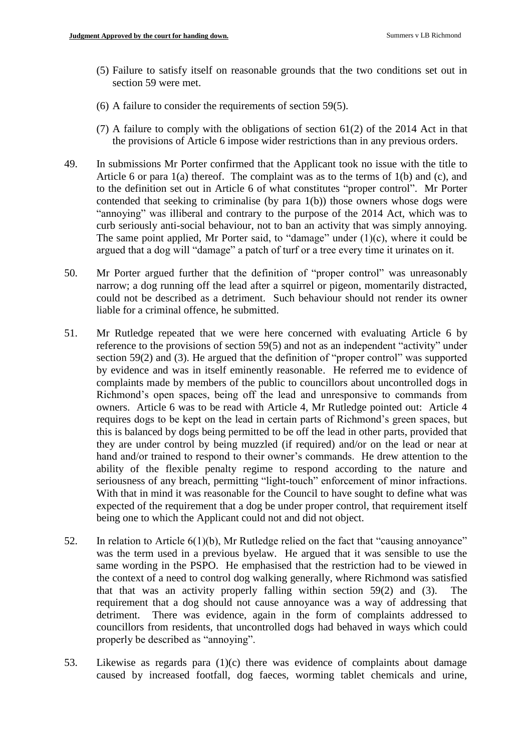- (5) Failure to satisfy itself on reasonable grounds that the two conditions set out in section 59 were met.
- (6) A failure to consider the requirements of section 59(5).
- (7) A failure to comply with the obligations of section 61(2) of the 2014 Act in that the provisions of Article 6 impose wider restrictions than in any previous orders.
- 49. In submissions Mr Porter confirmed that the Applicant took no issue with the title to Article 6 or para 1(a) thereof. The complaint was as to the terms of 1(b) and (c), and to the definition set out in Article 6 of what constitutes "proper control". Mr Porter contended that seeking to criminalise (by para 1(b)) those owners whose dogs were "annoying" was illiberal and contrary to the purpose of the 2014 Act, which was to curb seriously anti-social behaviour, not to ban an activity that was simply annoying. The same point applied, Mr Porter said, to "damage" under (1)(c), where it could be argued that a dog will "damage" a patch of turf or a tree every time it urinates on it.
- 50. Mr Porter argued further that the definition of "proper control" was unreasonably narrow; a dog running off the lead after a squirrel or pigeon, momentarily distracted, could not be described as a detriment. Such behaviour should not render its owner liable for a criminal offence, he submitted.
- 51. Mr Rutledge repeated that we were here concerned with evaluating Article 6 by reference to the provisions of section 59(5) and not as an independent "activity" under section 59(2) and (3). He argued that the definition of "proper control" was supported by evidence and was in itself eminently reasonable. He referred me to evidence of complaints made by members of the public to councillors about uncontrolled dogs in Richmond's open spaces, being off the lead and unresponsive to commands from owners. Article 6 was to be read with Article 4, Mr Rutledge pointed out: Article 4 requires dogs to be kept on the lead in certain parts of Richmond's green spaces, but this is balanced by dogs being permitted to be off the lead in other parts, provided that they are under control by being muzzled (if required) and/or on the lead or near at hand and/or trained to respond to their owner's commands. He drew attention to the ability of the flexible penalty regime to respond according to the nature and seriousness of any breach, permitting "light-touch" enforcement of minor infractions. With that in mind it was reasonable for the Council to have sought to define what was expected of the requirement that a dog be under proper control, that requirement itself being one to which the Applicant could not and did not object.
- 52. In relation to Article 6(1)(b), Mr Rutledge relied on the fact that "causing annoyance" was the term used in a previous byelaw. He argued that it was sensible to use the same wording in the PSPO. He emphasised that the restriction had to be viewed in the context of a need to control dog walking generally, where Richmond was satisfied that that was an activity properly falling within section 59(2) and (3). The requirement that a dog should not cause annoyance was a way of addressing that detriment. There was evidence, again in the form of complaints addressed to councillors from residents, that uncontrolled dogs had behaved in ways which could properly be described as "annoying".
- 53. Likewise as regards para (1)(c) there was evidence of complaints about damage caused by increased footfall, dog faeces, worming tablet chemicals and urine,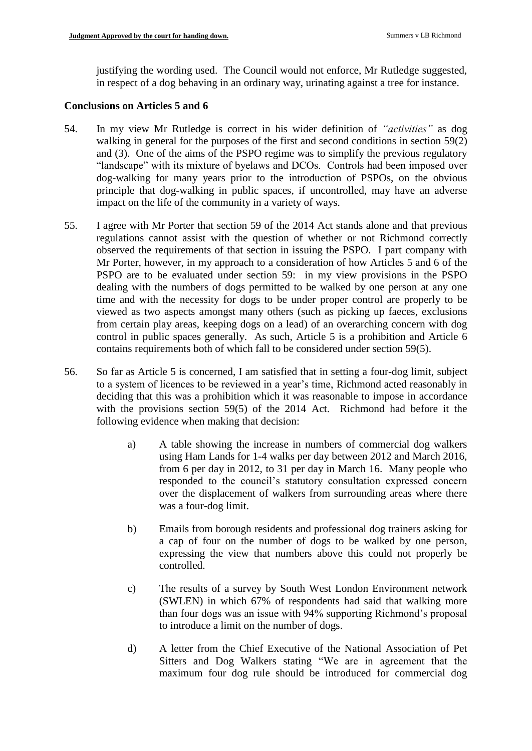justifying the wording used. The Council would not enforce, Mr Rutledge suggested, in respect of a dog behaving in an ordinary way, urinating against a tree for instance.

## **Conclusions on Articles 5 and 6**

- 54. In my view Mr Rutledge is correct in his wider definition of *"activities"* as dog walking in general for the purposes of the first and second conditions in section 59(2) and (3). One of the aims of the PSPO regime was to simplify the previous regulatory "landscape" with its mixture of byelaws and DCOs. Controls had been imposed over dog-walking for many years prior to the introduction of PSPOs, on the obvious principle that dog-walking in public spaces, if uncontrolled, may have an adverse impact on the life of the community in a variety of ways.
- 55. I agree with Mr Porter that section 59 of the 2014 Act stands alone and that previous regulations cannot assist with the question of whether or not Richmond correctly observed the requirements of that section in issuing the PSPO. I part company with Mr Porter, however, in my approach to a consideration of how Articles 5 and 6 of the PSPO are to be evaluated under section 59: in my view provisions in the PSPO dealing with the numbers of dogs permitted to be walked by one person at any one time and with the necessity for dogs to be under proper control are properly to be viewed as two aspects amongst many others (such as picking up faeces, exclusions from certain play areas, keeping dogs on a lead) of an overarching concern with dog control in public spaces generally. As such, Article 5 is a prohibition and Article 6 contains requirements both of which fall to be considered under section 59(5).
- 56. So far as Article 5 is concerned, I am satisfied that in setting a four-dog limit, subject to a system of licences to be reviewed in a year's time, Richmond acted reasonably in deciding that this was a prohibition which it was reasonable to impose in accordance with the provisions section 59(5) of the 2014 Act. Richmond had before it the following evidence when making that decision:
	- a) A table showing the increase in numbers of commercial dog walkers using Ham Lands for 1-4 walks per day between 2012 and March 2016, from 6 per day in 2012, to 31 per day in March 16. Many people who responded to the council's statutory consultation expressed concern over the displacement of walkers from surrounding areas where there was a four-dog limit.
	- b) Emails from borough residents and professional dog trainers asking for a cap of four on the number of dogs to be walked by one person, expressing the view that numbers above this could not properly be controlled.
	- c) The results of a survey by South West London Environment network (SWLEN) in which 67% of respondents had said that walking more than four dogs was an issue with 94% supporting Richmond's proposal to introduce a limit on the number of dogs.
	- d) A letter from the Chief Executive of the National Association of Pet Sitters and Dog Walkers stating "We are in agreement that the maximum four dog rule should be introduced for commercial dog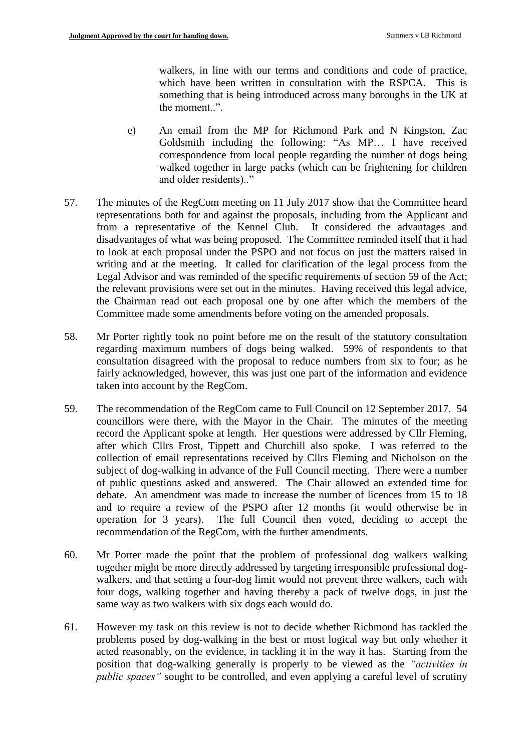walkers, in line with our terms and conditions and code of practice, which have been written in consultation with the RSPCA. This is something that is being introduced across many boroughs in the UK at the moment..".

- e) An email from the MP for Richmond Park and N Kingston, Zac Goldsmith including the following: "As MP… I have received correspondence from local people regarding the number of dogs being walked together in large packs (which can be frightening for children and older residents).."
- 57. The minutes of the RegCom meeting on 11 July 2017 show that the Committee heard representations both for and against the proposals, including from the Applicant and from a representative of the Kennel Club. It considered the advantages and disadvantages of what was being proposed. The Committee reminded itself that it had to look at each proposal under the PSPO and not focus on just the matters raised in writing and at the meeting. It called for clarification of the legal process from the Legal Advisor and was reminded of the specific requirements of section 59 of the Act; the relevant provisions were set out in the minutes. Having received this legal advice, the Chairman read out each proposal one by one after which the members of the Committee made some amendments before voting on the amended proposals.
- 58. Mr Porter rightly took no point before me on the result of the statutory consultation regarding maximum numbers of dogs being walked. 59% of respondents to that consultation disagreed with the proposal to reduce numbers from six to four; as he fairly acknowledged, however, this was just one part of the information and evidence taken into account by the RegCom.
- 59. The recommendation of the RegCom came to Full Council on 12 September 2017. 54 councillors were there, with the Mayor in the Chair. The minutes of the meeting record the Applicant spoke at length. Her questions were addressed by Cllr Fleming, after which Cllrs Frost, Tippett and Churchill also spoke. I was referred to the collection of email representations received by Cllrs Fleming and Nicholson on the subject of dog-walking in advance of the Full Council meeting. There were a number of public questions asked and answered. The Chair allowed an extended time for debate. An amendment was made to increase the number of licences from 15 to 18 and to require a review of the PSPO after 12 months (it would otherwise be in operation for 3 years). The full Council then voted, deciding to accept the recommendation of the RegCom, with the further amendments.
- 60. Mr Porter made the point that the problem of professional dog walkers walking together might be more directly addressed by targeting irresponsible professional dogwalkers, and that setting a four-dog limit would not prevent three walkers, each with four dogs, walking together and having thereby a pack of twelve dogs, in just the same way as two walkers with six dogs each would do.
- 61. However my task on this review is not to decide whether Richmond has tackled the problems posed by dog-walking in the best or most logical way but only whether it acted reasonably, on the evidence, in tackling it in the way it has. Starting from the position that dog-walking generally is properly to be viewed as the *"activities in public spaces"* sought to be controlled, and even applying a careful level of scrutiny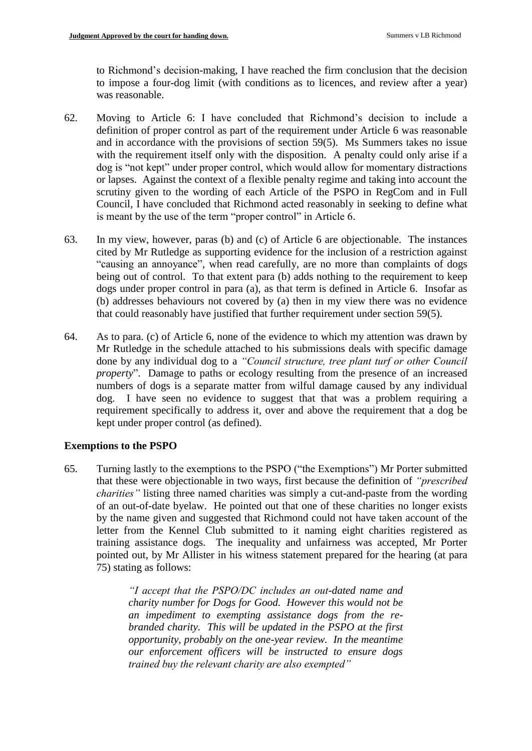to Richmond's decision-making, I have reached the firm conclusion that the decision to impose a four-dog limit (with conditions as to licences, and review after a year) was reasonable.

- 62. Moving to Article 6: I have concluded that Richmond's decision to include a definition of proper control as part of the requirement under Article 6 was reasonable and in accordance with the provisions of section 59(5). Ms Summers takes no issue with the requirement itself only with the disposition. A penalty could only arise if a dog is "not kept" under proper control, which would allow for momentary distractions or lapses. Against the context of a flexible penalty regime and taking into account the scrutiny given to the wording of each Article of the PSPO in RegCom and in Full Council, I have concluded that Richmond acted reasonably in seeking to define what is meant by the use of the term "proper control" in Article 6.
- 63. In my view, however, paras (b) and (c) of Article 6 are objectionable. The instances cited by Mr Rutledge as supporting evidence for the inclusion of a restriction against "causing an annoyance", when read carefully, are no more than complaints of dogs being out of control. To that extent para (b) adds nothing to the requirement to keep dogs under proper control in para (a), as that term is defined in Article 6. Insofar as (b) addresses behaviours not covered by (a) then in my view there was no evidence that could reasonably have justified that further requirement under section 59(5).
- 64. As to para. (c) of Article 6, none of the evidence to which my attention was drawn by Mr Rutledge in the schedule attached to his submissions deals with specific damage done by any individual dog to a *"Council structure, tree plant turf or other Council property*". Damage to paths or ecology resulting from the presence of an increased numbers of dogs is a separate matter from wilful damage caused by any individual dog. I have seen no evidence to suggest that that was a problem requiring a requirement specifically to address it, over and above the requirement that a dog be kept under proper control (as defined).

## **Exemptions to the PSPO**

65. Turning lastly to the exemptions to the PSPO ("the Exemptions") Mr Porter submitted that these were objectionable in two ways, first because the definition of *"prescribed charities"* listing three named charities was simply a cut-and-paste from the wording of an out-of-date byelaw. He pointed out that one of these charities no longer exists by the name given and suggested that Richmond could not have taken account of the letter from the Kennel Club submitted to it naming eight charities registered as training assistance dogs. The inequality and unfairness was accepted, Mr Porter pointed out, by Mr Allister in his witness statement prepared for the hearing (at para 75) stating as follows:

> *"I accept that the PSPO/DC includes an out-dated name and charity number for Dogs for Good. However this would not be an impediment to exempting assistance dogs from the rebranded charity. This will be updated in the PSPO at the first opportunity, probably on the one-year review. In the meantime our enforcement officers will be instructed to ensure dogs trained buy the relevant charity are also exempted"*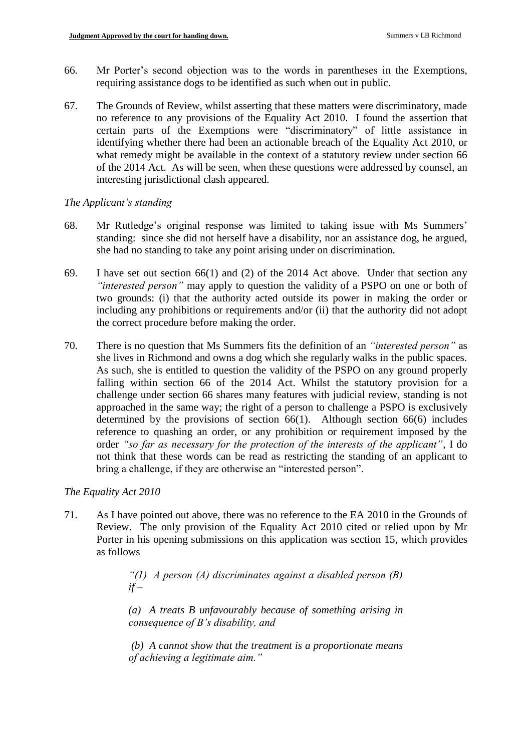- 66. Mr Porter's second objection was to the words in parentheses in the Exemptions, requiring assistance dogs to be identified as such when out in public.
- 67. The Grounds of Review, whilst asserting that these matters were discriminatory, made no reference to any provisions of the Equality Act 2010. I found the assertion that certain parts of the Exemptions were "discriminatory" of little assistance in identifying whether there had been an actionable breach of the Equality Act 2010, or what remedy might be available in the context of a statutory review under section 66 of the 2014 Act. As will be seen, when these questions were addressed by counsel, an interesting jurisdictional clash appeared.

### *The Applicant's standing*

- 68. Mr Rutledge's original response was limited to taking issue with Ms Summers' standing: since she did not herself have a disability, nor an assistance dog, he argued, she had no standing to take any point arising under on discrimination.
- 69. I have set out section 66(1) and (2) of the 2014 Act above. Under that section any *"interested person"* may apply to question the validity of a PSPO on one or both of two grounds: (i) that the authority acted outside its power in making the order or including any prohibitions or requirements and/or (ii) that the authority did not adopt the correct procedure before making the order.
- 70. There is no question that Ms Summers fits the definition of an *"interested person"* as she lives in Richmond and owns a dog which she regularly walks in the public spaces. As such, she is entitled to question the validity of the PSPO on any ground properly falling within section 66 of the 2014 Act. Whilst the statutory provision for a challenge under section 66 shares many features with judicial review, standing is not approached in the same way; the right of a person to challenge a PSPO is exclusively determined by the provisions of section 66(1). Although section 66(6) includes reference to quashing an order, or any prohibition or requirement imposed by the order *"so far as necessary for the protection of the interests of the applicant"*, I do not think that these words can be read as restricting the standing of an applicant to bring a challenge, if they are otherwise an "interested person".

## *The Equality Act 2010*

71. As I have pointed out above, there was no reference to the EA 2010 in the Grounds of Review. The only provision of the Equality Act 2010 cited or relied upon by Mr Porter in his opening submissions on this application was section 15, which provides as follows

> *"(1) A person (A) discriminates against a disabled person (B) if –*

> *(a) A treats B unfavourably because of something arising in consequence of B's disability, and*

> *(b) A cannot show that the treatment is a proportionate means of achieving a legitimate aim."*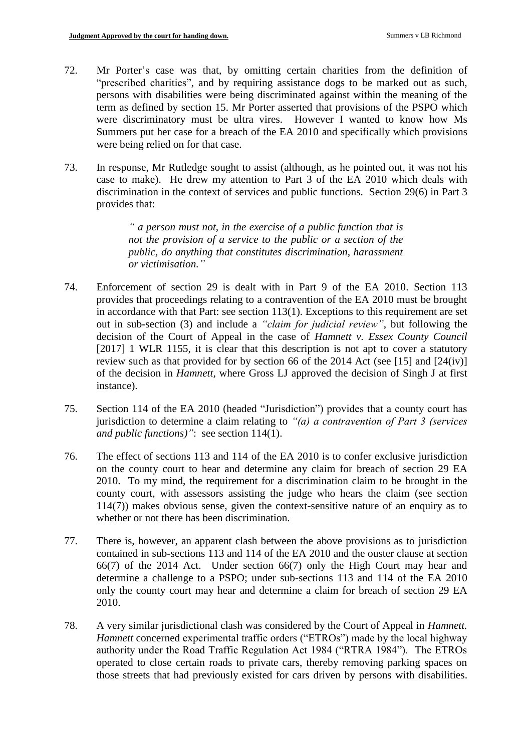- 72. Mr Porter's case was that, by omitting certain charities from the definition of "prescribed charities", and by requiring assistance dogs to be marked out as such, persons with disabilities were being discriminated against within the meaning of the term as defined by section 15. Mr Porter asserted that provisions of the PSPO which were discriminatory must be ultra vires. However I wanted to know how Ms Summers put her case for a breach of the EA 2010 and specifically which provisions were being relied on for that case.
- 73. In response, Mr Rutledge sought to assist (although, as he pointed out, it was not his case to make). He drew my attention to Part 3 of the EA 2010 which deals with discrimination in the context of services and public functions. Section 29(6) in Part 3 provides that:

*" a person must not, in the exercise of a public function that is not the provision of a service to the public or a section of the public, do anything that constitutes discrimination, harassment or victimisation."*

- 74. Enforcement of section 29 is dealt with in Part 9 of the EA 2010. Section 113 provides that proceedings relating to a contravention of the EA 2010 must be brought in accordance with that Part: see section 113(1). Exceptions to this requirement are set out in sub-section (3) and include a *"claim for judicial review"*, but following the decision of the Court of Appeal in the case of *Hamnett v. Essex County Council*  [2017] 1 WLR 1155, it is clear that this description is not apt to cover a statutory review such as that provided for by section 66 of the 2014 Act (see [15] and [24(iv)] of the decision in *Hamnett,* where Gross LJ approved the decision of Singh J at first instance).
- 75. Section 114 of the EA 2010 (headed "Jurisdiction") provides that a county court has jurisdiction to determine a claim relating to *"(a) a contravention of Part 3 (services and public functions)"*: see section 114(1).
- 76. The effect of sections 113 and 114 of the EA 2010 is to confer exclusive jurisdiction on the county court to hear and determine any claim for breach of section 29 EA 2010. To my mind, the requirement for a discrimination claim to be brought in the county court, with assessors assisting the judge who hears the claim (see section 114(7)) makes obvious sense, given the context-sensitive nature of an enquiry as to whether or not there has been discrimination.
- 77. There is, however, an apparent clash between the above provisions as to jurisdiction contained in sub-sections 113 and 114 of the EA 2010 and the ouster clause at section 66(7) of the 2014 Act. Under section 66(7) only the High Court may hear and determine a challenge to a PSPO; under sub-sections 113 and 114 of the EA 2010 only the county court may hear and determine a claim for breach of section 29 EA 2010.
- 78. A very similar jurisdictional clash was considered by the Court of Appeal in *Hamnett. Hamnett* concerned experimental traffic orders ("ETROs") made by the local highway authority under the Road Traffic Regulation Act 1984 ("RTRA 1984"). The ETROs operated to close certain roads to private cars, thereby removing parking spaces on those streets that had previously existed for cars driven by persons with disabilities.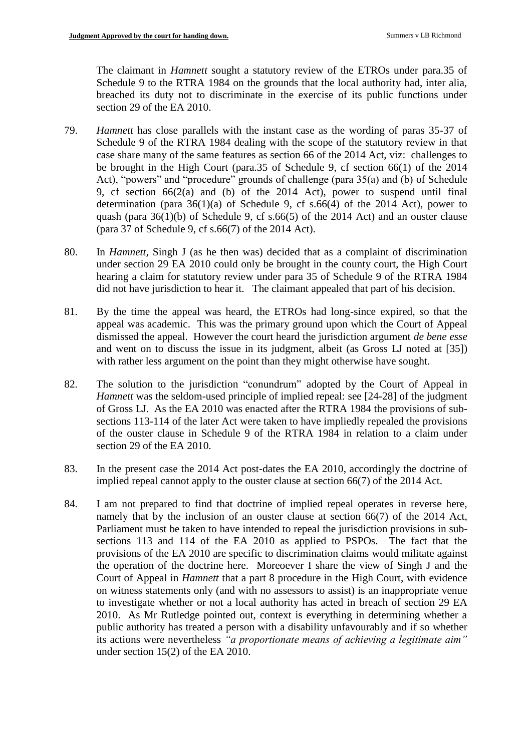The claimant in *Hamnett* sought a statutory review of the ETROs under para.35 of Schedule 9 to the RTRA 1984 on the grounds that the local authority had, inter alia, breached its duty not to discriminate in the exercise of its public functions under section 29 of the EA 2010.

- 79. *Hamnett* has close parallels with the instant case as the wording of paras 35-37 of Schedule 9 of the RTRA 1984 dealing with the scope of the statutory review in that case share many of the same features as section 66 of the 2014 Act, viz: challenges to be brought in the High Court (para.35 of Schedule 9, cf section 66(1) of the 2014 Act), "powers" and "procedure" grounds of challenge (para 35(a) and (b) of Schedule 9, cf section  $66(2(a)$  and (b) of the 2014 Act), power to suspend until final determination (para  $36(1)(a)$  of Schedule 9, cf s.66(4) of the 2014 Act), power to quash (para  $36(1)(b)$  of Schedule 9, cf s.66(5) of the 2014 Act) and an ouster clause (para 37 of Schedule 9, cf s.66(7) of the 2014 Act).
- 80. In *Hamnett,* Singh J (as he then was) decided that as a complaint of discrimination under section 29 EA 2010 could only be brought in the county court, the High Court hearing a claim for statutory review under para 35 of Schedule 9 of the RTRA 1984 did not have jurisdiction to hear it. The claimant appealed that part of his decision.
- 81. By the time the appeal was heard, the ETROs had long-since expired, so that the appeal was academic. This was the primary ground upon which the Court of Appeal dismissed the appeal. However the court heard the jurisdiction argument *de bene esse* and went on to discuss the issue in its judgment, albeit (as Gross LJ noted at [35]) with rather less argument on the point than they might otherwise have sought.
- 82. The solution to the jurisdiction "conundrum" adopted by the Court of Appeal in *Hamnett* was the seldom-used principle of implied repeal: see [24-28] of the judgment of Gross LJ. As the EA 2010 was enacted after the RTRA 1984 the provisions of subsections 113-114 of the later Act were taken to have impliedly repealed the provisions of the ouster clause in Schedule 9 of the RTRA 1984 in relation to a claim under section 29 of the EA 2010.
- 83. In the present case the 2014 Act post-dates the EA 2010, accordingly the doctrine of implied repeal cannot apply to the ouster clause at section 66(7) of the 2014 Act.
- 84. I am not prepared to find that doctrine of implied repeal operates in reverse here, namely that by the inclusion of an ouster clause at section 66(7) of the 2014 Act, Parliament must be taken to have intended to repeal the jurisdiction provisions in subsections 113 and 114 of the EA 2010 as applied to PSPOs. The fact that the provisions of the EA 2010 are specific to discrimination claims would militate against the operation of the doctrine here. Moreoever I share the view of Singh J and the Court of Appeal in *Hamnett* that a part 8 procedure in the High Court, with evidence on witness statements only (and with no assessors to assist) is an inappropriate venue to investigate whether or not a local authority has acted in breach of section 29 EA 2010. As Mr Rutledge pointed out, context is everything in determining whether a public authority has treated a person with a disability unfavourably and if so whether its actions were nevertheless *"a proportionate means of achieving a legitimate aim"* under section 15(2) of the EA 2010.